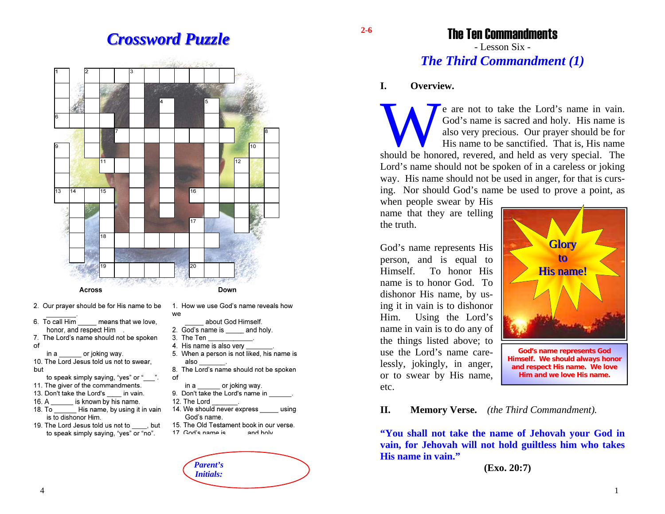# *Crossword Puzzle Crossword Puzzle*



- 2. Our prayer should be for His name to be
- 6. To call Him means that we love. honor, and respect Him
- 7. The Lord's name should not be spoken of

in a or joking way. 10. The Lord Jesus told us not to swear. but

- to speak simply saying, "yes" or "
- 11. The giver of the commandments.
- 13. Don't take the Lord's in vain.
- is known by his name.  $16. A$ 18. To His name, by using it in vain
- is to dishonor Him.
- 19. The Lord Jesus told us not to \_\_\_\_\_, but to speak simply saving. "ves" or "no".
- 1. How we use God's name reveals how we
	- about God Himself.
- 2. God's name is \_\_\_\_\_\_ and holy.
- 3. The Ten 4. His name is also verv
- 5. When a person is not liked, his name is also
- 8. The Lord's name should not be spoken of
- or joking way. in a
- 9. Don't take the Lord's name in
- 12. The Lord

*Parent's Initials:* 

- 14. We should never express using God's name.
- 15. The Old Testament book in our verse. 17 God's name is and holv



# The Ten Commandments

- Lesson Six - *The Third Commandment (1)* 

#### **I. Overview.**

We are not to take the Lord's name in vain. God's name is sacred and holy. His name is also very precious. Our prayer should be for His name to be sanctified. That is, His name should be honored, revered, and held as very special. The Lord's name should not be spoken of in a careless or joking way. His name should not be used in anger, for that is cursing. Nor should God's name be used to prove a point, as

when people swear by His name that they are telling the truth.

God's name represents His person, and is equal to Himself. To honor His name is to honor God. To dishonor His name, by using it in vain is to dishonor Him. Using the Lord's name in vain is to do any of the things listed above; to use the Lord's name carelessly, jokingly, in anger, or to swear by His name, etc.



**God's name represents God Himself. We should always honor and respect His name. We love Him and we love His name.** 

#### **II. Memory Verse.** *(the Third Commandment).*

**"You shall not take the name of Jehovah your God in vain, for Jehovah will not hold guiltless him who takes His name in vain."** 

**(Exo. 20:7)** 

4

1

**2-6**